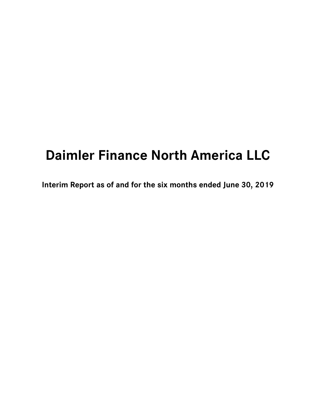# **Daimler Finance North America LLC**

**Interim Report as of and for the six months ended June 30, 2019**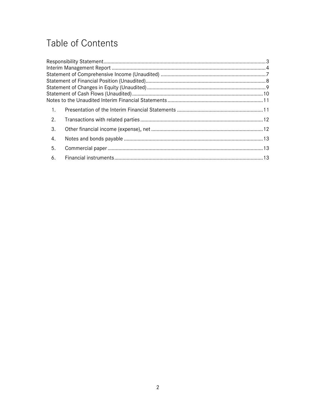## Table of Contents

| 1. |  |
|----|--|
| 2. |  |
| 3. |  |
| 4. |  |
| 5. |  |
| 6. |  |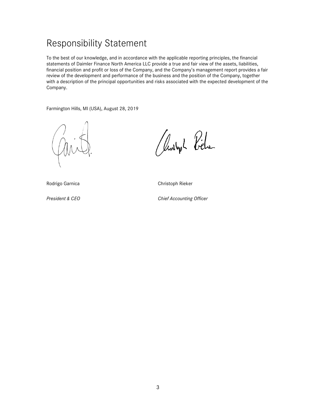## <span id="page-2-0"></span>Responsibility Statement

To the best of our knowledge, and in accordance with the applicable reporting principles, the financial statements of Daimler Finance North America LLC provide a true and fair view of the assets, liabilities, financial position and profit or loss of the Company, and the Company's management report provides a fair review of the development and performance of the business and the position of the Company, together with a description of the principal opportunities and risks associated with the expected development of the Company.

Farmington Hills, MI (USA), August 28, 2019

Rendby L. Viele

Rodrigo Garnica **Christoph Rieker** Christoph Rieker

*President & CEO Chief Accounting Officer*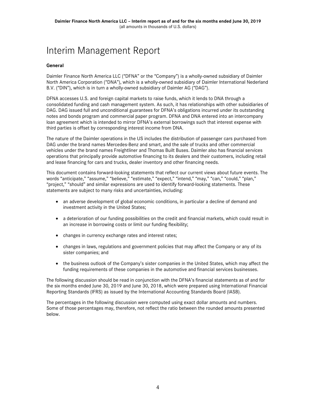## <span id="page-3-0"></span>Interim Management Report

#### **General**

Daimler Finance North America LLC ("DFNA" or the "Company") is a wholly-owned subsidiary of Daimler North America Corporation ("DNA"), which is a wholly-owned subsidiary of Daimler International Nederland B.V. ("DIN"), which is in turn a wholly-owned subsidiary of Daimler AG ("DAG").

DFNA accesses U.S. and foreign capital markets to raise funds, which it lends to DNA through a consolidated funding and cash management system. As such, it has relationships with other subsidiaries of DAG. DAG issued full and unconditional guarantees for DFNA's obligations incurred under its outstanding notes and bonds program and commercial paper program. DFNA and DNA entered into an intercompany loan agreement which is intended to mirror DFNA's external borrowings such that interest expense with third parties is offset by corresponding interest income from DNA.

The nature of the Daimler operations in the US includes the distribution of passenger cars purchased from DAG under the brand names Mercedes-Benz and smart, and the sale of trucks and other commercial vehicles under the brand names Freightliner and Thomas Built Buses. Daimler also has financial services operations that principally provide automotive financing to its dealers and their customers, including retail and lease financing for cars and trucks, dealer inventory and other financing needs.

This document contains forward-looking statements that reflect our current views about future events. The words "anticipate," "assume," "believe," "estimate," "expect," "intend," "may," "can," "could," "plan," "project," "should" and similar expressions are used to identify forward-looking statements. These statements are subject to many risks and uncertainties, including:

- an adverse development of global economic conditions, in particular a decline of demand and investment activity in the United States;
- a deterioration of our funding possibilities on the credit and financial markets, which could result in an increase in borrowing costs or limit our funding flexibility;
- changes in currency exchange rates and interest rates;
- changes in laws, regulations and government policies that may affect the Company or any of its sister companies; and
- the business outlook of the Company's sister companies in the United States, which may affect the funding requirements of these companies in the automotive and financial services businesses.

The following discussion should be read in conjunction with the DFNA's financial statements as of and for the six months ended June 30, 2019 and June 30, 2018, which were prepared using International Financial Reporting Standards (IFRS) as issued by the International Accounting Standards Board (IASB).

The percentages in the following discussion were computed using exact dollar amounts and numbers. Some of those percentages may, therefore, not reflect the ratio between the rounded amounts presented below.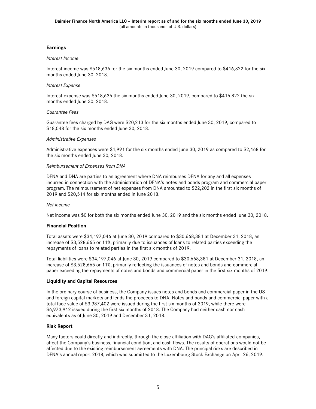#### **Earnings**

#### *Interest Income*

Interest income was \$518,636 for the six months ended June 30, 2019 compared to \$416,822 for the six months ended June 30, 2018.

#### *Interest Expense*

Interest expense was \$518,636 the six months ended June 30, 2019, compared to \$416,822 the six months ended June 30, 2018.

#### *Guarantee Fees*

Guarantee fees charged by DAG were \$20,213 for the six months ended June 30, 2019, compared to \$18,048 for the six months ended June 30, 2018.

#### *Administrative Expenses*

Administrative expenses were \$1,991 for the six months ended June 30, 2019 as compared to \$2,468 for the six months ended June 30, 2018.

#### *Reimbursement of Expenses from DNA*

DFNA and DNA are parties to an agreement where DNA reimburses DFNA for any and all expenses incurred in connection with the administration of DFNA's notes and bonds program and commercial paper program. The reimbursement of net expenses from DNA amounted to \$22,202 in the first six months of 2019 and \$20,514 for six months ended in June 2018.

#### *Net income*

Net income was \$0 for both the six months ended June 30, 2019 and the six months ended June 30, 2018.

#### **Financial Position**

Total assets were \$34,197,046 at June 30, 2019 compared to \$30,668,381 at December 31, 2018, an increase of \$3,528,665 or 11%, primarily due to issuances of loans to related parties exceeding the repayments of loans to related parties in the first six months of 2019.

Total liabilities were \$34,197,046 at June 30, 2019 compared to \$30,668,381 at December 31, 2018, an increase of \$3,528,665 or 11%, primarily reflecting the issuances of notes and bonds and commercial paper exceeding the repayments of notes and bonds and commercial paper in the first six months of 2019.

#### **Liquidity and Capital Resources**

In the ordinary course of business, the Company issues notes and bonds and commercial paper in the US and foreign capital markets and lends the proceeds to DNA. Notes and bonds and commercial paper with a total face value of \$3,987,402 were issued during the first six months of 2019, while there were \$6,973,942 issued during the first six months of 2018. The Company had neither cash nor cash equivalents as of June 30, 2019 and December 31, 2018.

#### **Risk Report**

Many factors could directly and indirectly, through the close affiliation with DAG's affiliated companies, affect the Company's business, financial condition, and cash flows. The results of operations would not be affected due to the existing reimbursement agreements with DNA. The principal risks are described in DFNA's annual report 2018, which was submitted to the Luxembourg Stock Exchange on April 26, 2019.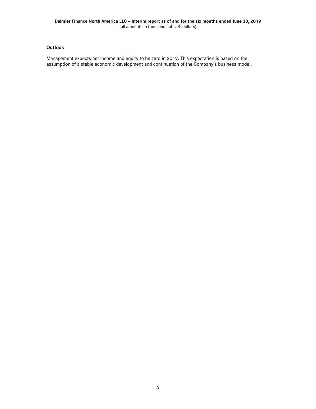#### **Outlook**

Management expects net income and equity to be zero in 2019. This expectation is based on the assumption of a stable economic development and continuation of the Company's business model.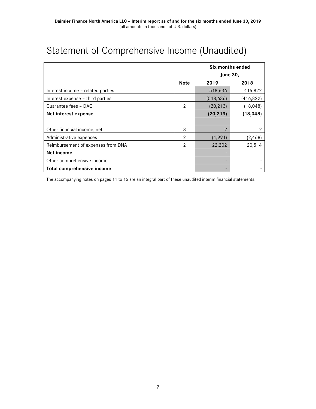|                                    |                | Six months ended<br><b>June 30,</b> |            |
|------------------------------------|----------------|-------------------------------------|------------|
|                                    | <b>Note</b>    | 2019                                | 2018       |
| Interest income - related parties  |                | 518,636                             | 416,822    |
| Interest expense – third parties   |                | (518, 636)                          | (416, 822) |
| Guarantee fees - DAG               | $\overline{2}$ | (20, 213)                           | (18,048)   |
| Net interest expense               |                | (18, 048)<br>(20, 213)              |            |
|                                    |                |                                     |            |
| Other financial income, net        | 3              | 2                                   | 2          |
| Administrative expenses            | $\mathcal{P}$  | (1,991)                             | (2, 468)   |
| Reimbursement of expenses from DNA | 2              | 22,202                              | 20,514     |
| Net income                         |                |                                     |            |
| Other comprehensive income         |                |                                     |            |
| Total comprehensive income         |                |                                     |            |

## <span id="page-6-0"></span>Statement of Comprehensive Income (Unaudited)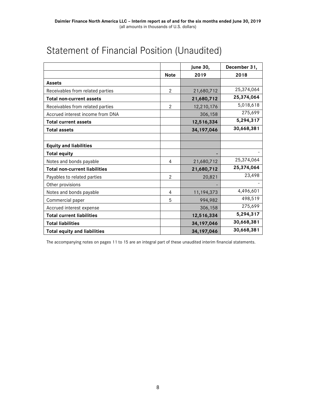|                                      |                | <b>June 30,</b> | December 31, |
|--------------------------------------|----------------|-----------------|--------------|
|                                      | <b>Note</b>    | 2019            | 2018         |
| <b>Assets</b>                        |                |                 |              |
| Receivables from related parties     | $\overline{2}$ | 21,680,712      | 25,374,064   |
| <b>Total non-current assets</b>      |                | 21,680,712      | 25,374,064   |
| Receivables from related parties     | $\overline{2}$ | 12,210,176      | 5,018,618    |
| Accrued interest income from DNA     |                | 306,158         | 275,699      |
| <b>Total current assets</b>          |                | 12,516,334      | 5,294,317    |
| <b>Total assets</b>                  |                | 34, 197, 046    | 30,668,381   |
|                                      |                |                 |              |
| <b>Equity and liabilities</b>        |                |                 |              |
| <b>Total equity</b>                  |                |                 |              |
| Notes and bonds payable              | 4              | 21,680,712      | 25,374,064   |
| <b>Total non-current liabilities</b> |                | 21,680,712      | 25,374,064   |
| Payables to related parties          | $\overline{2}$ | 20,821          | 23,498       |
| Other provisions                     |                |                 |              |
| Notes and bonds payable              | $\overline{4}$ | 11,194,373      | 4,496,601    |
| Commercial paper                     | 5              | 994,982         | 498,519      |
| Accrued interest expense             |                | 306,158         | 275,699      |
| <b>Total current liabilities</b>     |                | 12,516,334      | 5,294,317    |
| <b>Total liabilities</b>             |                | 34, 197, 046    | 30,668,381   |
| <b>Total equity and liabilities</b>  |                | 34, 197, 046    | 30,668,381   |

## <span id="page-7-0"></span>Statement of Financial Position (Unaudited)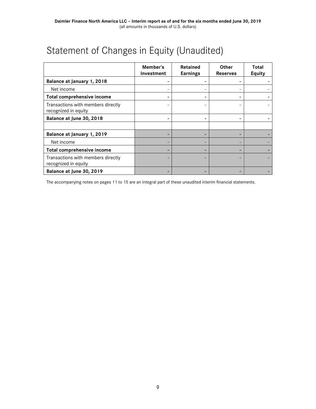<span id="page-8-0"></span>

| Statement of Changes in Equity (Unaudited) |  |  |  |
|--------------------------------------------|--|--|--|
|--------------------------------------------|--|--|--|

|                                                            | Member's<br>Investment | <b>Retained</b><br><b>Earnings</b> | <b>Other</b><br><b>Reserves</b> | Total<br><b>Equity</b> |
|------------------------------------------------------------|------------------------|------------------------------------|---------------------------------|------------------------|
| Balance at January 1, 2018                                 |                        |                                    |                                 |                        |
| Net income                                                 |                        |                                    |                                 |                        |
| <b>Total comprehensive income</b>                          |                        |                                    | ۰                               |                        |
| Transactions with members directly<br>recognized in equity |                        |                                    |                                 |                        |
| Balance at June 30, 2018                                   |                        |                                    |                                 |                        |
|                                                            |                        |                                    |                                 |                        |
| Balance at January 1, 2019                                 |                        |                                    |                                 |                        |
| Net income                                                 |                        |                                    |                                 |                        |
| Total comprehensive income                                 |                        |                                    |                                 |                        |
| Transactions with members directly<br>recognized in equity |                        |                                    |                                 |                        |
| Balance at June 30, 2019                                   |                        |                                    |                                 |                        |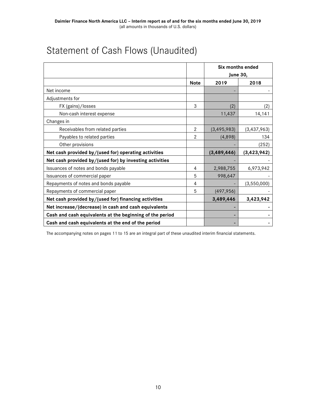|                                                          |                | Six months ended<br>June 30, |               |  |
|----------------------------------------------------------|----------------|------------------------------|---------------|--|
|                                                          | <b>Note</b>    | 2019                         | 2018          |  |
| Net income                                               |                |                              |               |  |
| Adjustments for                                          |                |                              |               |  |
| FX (gains)/losses                                        | 3              | (2)                          | (2)           |  |
| Non-cash interest expense                                |                | 11,437                       | 14,141        |  |
| Changes in                                               |                |                              |               |  |
| Receivables from related parties                         | $\mathbf{2}$   | (3, 495, 983)                | (3, 437, 963) |  |
| Payables to related parties                              | $\overline{2}$ | (4,898)                      | 134           |  |
| Other provisions                                         |                |                              | (252)         |  |
| Net cash provided by/(used for) operating activities     |                | (3,489,446)                  | (3, 423, 942) |  |
| Net cash provided by/(used for) by investing activities  |                |                              |               |  |
| Issuances of notes and bonds payable                     | 4              | 2,988,755                    | 6,973,942     |  |
| Issuances of commercial paper                            | 5              | 998,647                      |               |  |
| Repayments of notes and bonds payable                    | 4              | (3,550,000)                  |               |  |
| Repayments of commercial paper                           | 5              | (497, 956)                   |               |  |
| Net cash provided by/(used for) financing activities     |                | 3,489,446                    | 3,423,942     |  |
| Net increase/(decrease) in cash and cash equivalents     |                |                              |               |  |
| Cash and cash equivalents at the beginning of the period |                |                              |               |  |
| Cash and cash equivalents at the end of the period       |                |                              |               |  |

## <span id="page-9-0"></span>Statement of Cash Flows (Unaudited)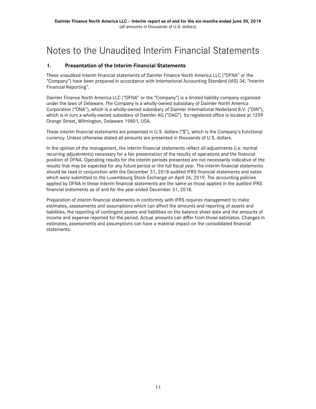## <span id="page-10-0"></span>Notes to the Unaudited Interim Financial Statements

### <span id="page-10-1"></span>**1. Presentation of the Interim Financial Statements**

These unaudited interim financial statements of Daimler Finance North America LLC ("DFNA" or the "Company") have been prepared in accordance with International Accounting Standard (IAS) 34, "Interim Financial Reporting".

Daimler Finance North America LLC ("DFNA" or the "Company") is a limited liability company organized under the laws of Delaware. The Company is a wholly-owned subsidiary of Daimler North America Corporation ("DNA"), which is a wholly-owned subsidiary of Daimler International Nederland B.V. ("DIN"), which is in turn a wholly-owned subsidiary of Daimler AG ("DAG"). Its registered office is located at 1209 Orange Street, Wilmington, Delaware 19801, USA.

These interim financial statements are presented in U.S. dollars ("\$"), which is the Company's functional currency. Unless otherwise stated all amounts are presented in thousands of U.S. dollars.

In the opinion of the management, the interim financial statements reflect all adjustments (i.e. normal recurring adjustments) necessary for a fair presentation of the results of operations and the financial position of DFNA. Operating results for the interim periods presented are not necessarily indicative of the results that may be expected for any future period or the full fiscal year. The interim financial statements should be read in conjunction with the December 31, 2018 audited IFRS financial statements and notes which were submitted to the Luxembourg Stock Exchange on April 26, 2019. The accounting policies applied by DFNA in these interim financial statements are the same as those applied in the audited IFRS financial statements as of and for the year ended December 31, 2018.

Preparation of interim financial statements in conformity with IFRS requires management to make estimates, assessments and assumptions which can affect the amounts and reporting of assets and liabilities, the reporting of contingent assets and liabilities on the balance sheet date and the amounts of income and expense reported for the period. Actual amounts can differ from those estimates. Changes in estimates, assessments and assumptions can have a material impact on the consolidated financial statements.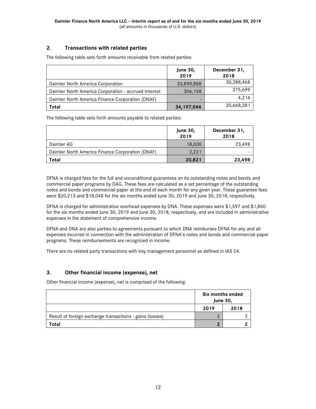### <span id="page-11-0"></span>**2. Transactions with related parties**

The following table sets forth amounts receivable from related parties:

|                                                      | <b>June 30,</b><br>2019 | December 31,<br>2018 |
|------------------------------------------------------|-------------------------|----------------------|
| Daimler North America Corporation                    | 33,890,888              | 30,388,468           |
| Daimler North America Corporation - accrued interest | 306,158                 | 275,699              |
| Daimler North America Finance Corporation (DNAF)     |                         | 4,214                |
| Total                                                | 34, 197, 046            | 30,668,381           |

The following table sets forth amounts payable to related parties:

|                                                  | <b>June 30,</b><br>2019 | December 31,<br>2018 |
|--------------------------------------------------|-------------------------|----------------------|
| Daimler AG                                       | 18,600                  | 23,498               |
| Daimler North America Finance Corporation (DNAF) | 2,221                   |                      |
| Total                                            | 20,821                  | 23,498               |

DFNA is charged fees for the full and unconditional guarantees on its outstanding notes and bonds and commercial paper programs by DAG. These fees are calculated as a set percentage of the outstanding notes and bonds and commercial paper at the end of each month for any given year. These guarantee fees were \$20,213 and \$18,048 for the six months ended June 30, 2019 and June 30, 2018, respectively.

DFNA is charged for administrative overhead expenses by DNA. These expenses were \$1,597 and \$1,860 for the six months ended June 30, 2019 and June 30, 2018, respectively, and are included in administrative expenses in the statement of comprehensive income.

DFNA and DNA are also parties to agreements pursuant to which DNA reimburses DFNA for any and all expenses incurred in connection with the administration of DFNA's notes and bonds and commercial paper programs. These reimbursements are recognized in income.

There are no related party transactions with key management personnel as defined in IAS 24.

### <span id="page-11-1"></span>**3. Other financial income (expense), net**

Other financial income (expense), net is comprised of the following:

|                                                          | Six months ended<br><b>June 30,</b> |  |
|----------------------------------------------------------|-------------------------------------|--|
|                                                          | 2018<br>2019                        |  |
| Result of foreign exchange transactions - gains (losses) |                                     |  |
| Гоtal                                                    |                                     |  |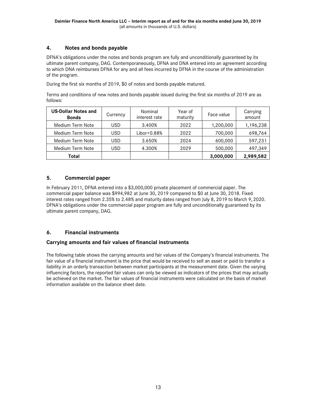### <span id="page-12-0"></span>**4. Notes and bonds payable**

DFNA's obligations under the notes and bonds program are fully and unconditionally guaranteed by its ultimate parent company, DAG. Contemporaneously, DFNA and DNA entered into an agreement according to which DNA reimburses DFNA for any and all fees incurred by DFNA in the course of the administration of the program.

During the first six months of 2019, \$0 of notes and bonds payable matured.

Terms and conditions of new notes and bonds payable issued during the first six months of 2019 are as follows:

| <b>US-Dollar Notes and</b><br><b>Bonds</b> | Currency | Nominal<br>interest rate | Year of<br>maturity | Face value | Carrying<br>amount |
|--------------------------------------------|----------|--------------------------|---------------------|------------|--------------------|
| Medium Term Note                           | USD      | 3.400%                   | 2022                | 1,200,000  | 1,196,238          |
| Medium Term Note                           | USD      | Libor+0.88%              | 2022                | 700,000    | 698,764            |
| Medium Term Note                           | USD      | 3.650%                   | 2024                | 600,000    | 597,231            |
| Medium Term Note                           | USD      | 4.300%                   | 2029                | 500,000    | 497,349            |
| Total                                      |          |                          |                     | 3,000,000  | 2,989,582          |

### <span id="page-12-1"></span>**5. Commercial paper**

In February 2011, DFNA entered into a \$3,000,000 private placement of commercial paper. The commercial paper balance was \$994,982 at June 30, 2019 compared to \$0 at June 30, 2018. Fixed interest rates ranged from 2.35% to 2.48% and maturity dates ranged from July 8, 2019 to March 9, 2020. DFNA's obligations under the commercial paper program are fully and unconditionally guaranteed by its ultimate parent company, DAG.

### <span id="page-12-2"></span>**6. Financial instruments**

### **Carrying amounts and fair values of financial instruments**

The following table shows the carrying amounts and fair values of the Company's financial instruments. The fair value of a financial instrument is the price that would be received to sell an asset or paid to transfer a liability in an orderly transaction between market participants at the measurement date. Given the varying influencing factors, the reported fair values can only be viewed as indicators of the prices that may actually be achieved on the market. The fair values of financial instruments were calculated on the basis of market information available on the balance sheet date.